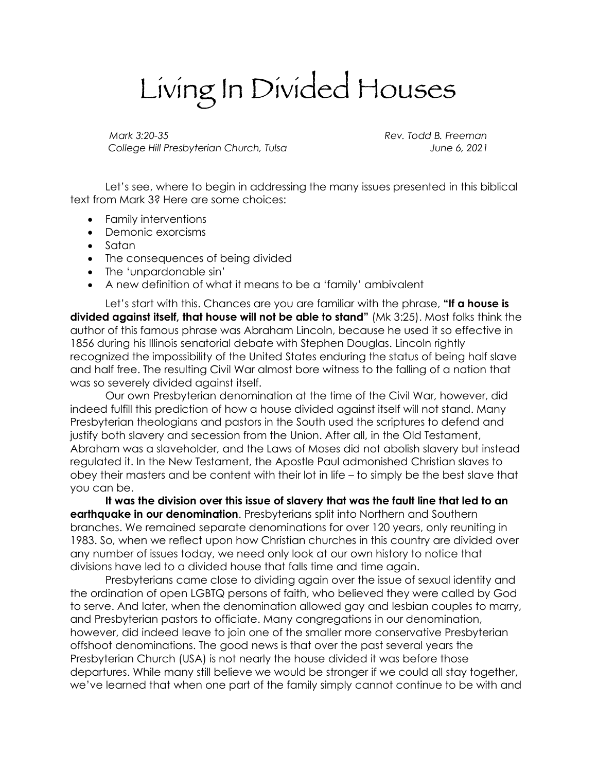## Living In Divided Houses

*Mark 3:20-35 Rev. Todd B. Freeman College Hill Presbyterian Church, Tulsa June 6, 2021*

Let's see, where to begin in addressing the many issues presented in this biblical text from Mark 3? Here are some choices:

- Family interventions
- Demonic exorcisms
- Satan
- The consequences of being divided
- The 'unpardonable sin'
- A new definition of what it means to be a 'family' ambivalent

Let's start with this. Chances are you are familiar with the phrase, **"If a house is divided against itself, that house will not be able to stand"** (Mk 3:25). Most folks think the author of this famous phrase was Abraham Lincoln, because he used it so effective in 1856 during his Illinois senatorial debate with Stephen Douglas. Lincoln rightly recognized the impossibility of the United States enduring the status of being half slave and half free. The resulting Civil War almost bore witness to the falling of a nation that was so severely divided against itself.

Our own Presbyterian denomination at the time of the Civil War, however, did indeed fulfill this prediction of how a house divided against itself will not stand. Many Presbyterian theologians and pastors in the South used the scriptures to defend and justify both slavery and secession from the Union. After all, in the Old Testament, Abraham was a slaveholder, and the Laws of Moses did not abolish slavery but instead regulated it. In the New Testament, the Apostle Paul admonished Christian slaves to obey their masters and be content with their lot in life – to simply be the best slave that you can be.

**It was the division over this issue of slavery that was the fault line that led to an earthquake in our denomination**. Presbyterians split into Northern and Southern branches. We remained separate denominations for over 120 years, only reuniting in 1983. So, when we reflect upon how Christian churches in this country are divided over any number of issues today, we need only look at our own history to notice that divisions have led to a divided house that falls time and time again.

Presbyterians came close to dividing again over the issue of sexual identity and the ordination of open LGBTQ persons of faith, who believed they were called by God to serve. And later, when the denomination allowed gay and lesbian couples to marry, and Presbyterian pastors to officiate. Many congregations in our denomination, however, did indeed leave to join one of the smaller more conservative Presbyterian offshoot denominations. The good news is that over the past several years the Presbyterian Church (USA) is not nearly the house divided it was before those departures. While many still believe we would be stronger if we could all stay together, we've learned that when one part of the family simply cannot continue to be with and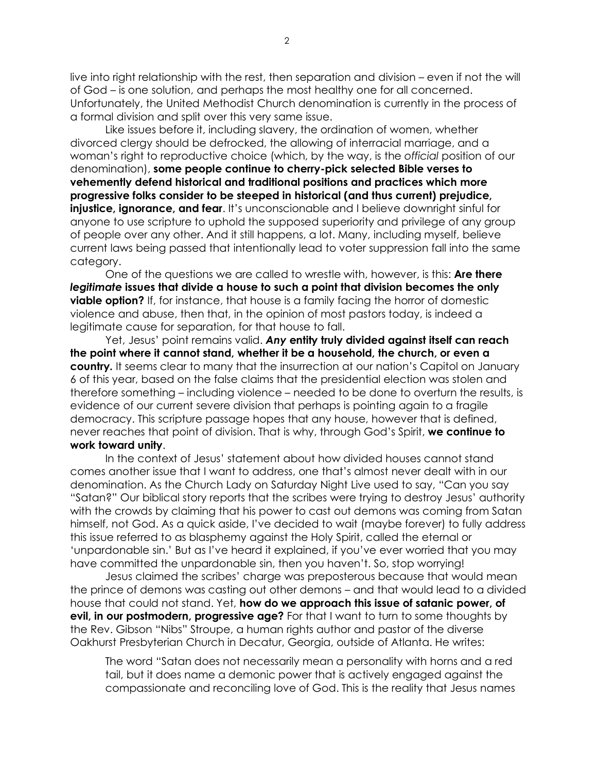live into right relationship with the rest, then separation and division – even if not the will of God – is one solution, and perhaps the most healthy one for all concerned. Unfortunately, the United Methodist Church denomination is currently in the process of a formal division and split over this very same issue.

Like issues before it, including slavery, the ordination of women, whether divorced clergy should be defrocked, the allowing of interracial marriage, and a woman's right to reproductive choice (which, by the way, is the *official* position of our denomination), **some people continue to cherry-pick selected Bible verses to vehemently defend historical and traditional positions and practices which more progressive folks consider to be steeped in historical (and thus current) prejudice, injustice, ignorance, and fear.** It's unconscionable and I believe downright sinful for anyone to use scripture to uphold the supposed superiority and privilege of any group of people over any other. And it still happens, a lot. Many, including myself, believe current laws being passed that intentionally lead to voter suppression fall into the same category.

One of the questions we are called to wrestle with, however, is this: **Are there**  *legitimate* **issues that divide a house to such a point that division becomes the only viable option?** If, for instance, that house is a family facing the horror of domestic violence and abuse, then that, in the opinion of most pastors today, is indeed a legitimate cause for separation, for that house to fall.

Yet, Jesus' point remains valid. *Any* **entity truly divided against itself can reach the point where it cannot stand, whether it be a household, the church, or even a country.** It seems clear to many that the insurrection at our nation's Capitol on January 6 of this year, based on the false claims that the presidential election was stolen and therefore something – including violence – needed to be done to overturn the results, is evidence of our current severe division that perhaps is pointing again to a fragile democracy. This scripture passage hopes that any house, however that is defined, never reaches that point of division. That is why, through God's Spirit, **we continue to work toward unity**.

In the context of Jesus' statement about how divided houses cannot stand comes another issue that I want to address, one that's almost never dealt with in our denomination. As the Church Lady on Saturday Night Live used to say, "Can you say "Satan?" Our biblical story reports that the scribes were trying to destroy Jesus' authority with the crowds by claiming that his power to cast out demons was coming from Satan himself, not God. As a quick aside, I've decided to wait (maybe forever) to fully address this issue referred to as blasphemy against the Holy Spirit, called the eternal or 'unpardonable sin.' But as I've heard it explained, if you've ever worried that you may have committed the unpardonable sin, then you haven't. So, stop worrying!

Jesus claimed the scribes' charge was preposterous because that would mean the prince of demons was casting out other demons – and that would lead to a divided house that could not stand. Yet, **how do we approach this issue of satanic power, of evil, in our postmodern, progressive age?** For that I want to turn to some thoughts by the Rev. Gibson "Nibs" Stroupe, a human rights author and pastor of the diverse Oakhurst Presbyterian Church in Decatur, Georgia, outside of Atlanta. He writes:

The word "Satan does not necessarily mean a personality with horns and a red tail, but it does name a demonic power that is actively engaged against the compassionate and reconciling love of God. This is the reality that Jesus names